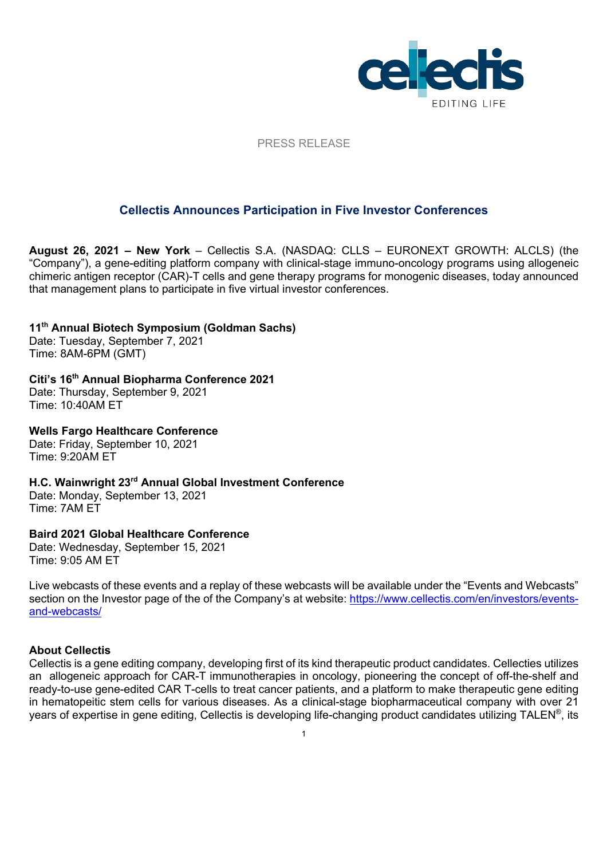

PRESS RELEASE

# **Cellectis Announces Participation in Five Investor Conferences**

**August 26, 2021 – New York** – Cellectis S.A. (NASDAQ: CLLS – EURONEXT GROWTH: ALCLS) (the "Company"), a gene-editing platform company with clinical-stage immuno-oncology programs using allogeneic chimeric antigen receptor (CAR)-T cells and gene therapy programs for monogenic diseases, today announced that management plans to participate in five virtual investor conferences.

### **11th Annual Biotech Symposium (Goldman Sachs)**

Date: Tuesday, September 7, 2021 Time: 8AM-6PM (GMT)

# **Citi's 16th Annual Biopharma Conference 2021**

Date: Thursday, September 9, 2021 Time: 10:40AM ET

### **Wells Fargo Healthcare Conference**

Date: Friday, September 10, 2021 Time: 9:20AM ET

**H.C. Wainwright 23rd Annual Global Investment Conference** Date: Monday, September 13, 2021

Time: 7AM ET

# **Baird 2021 Global Healthcare Conference**

Date: Wednesday, September 15, 2021 Time: 9:05 AM ET

Live webcasts of these events and a replay of these webcasts will be available under the "Events and Webcasts" section on the Investor page of the of the Company's at website: https://www.cellectis.com/en/investors/eventsand-webcasts/

# **About Cellectis**

Cellectis is a gene editing company, developing first of its kind therapeutic product candidates. Cellecties utilizes an allogeneic approach for CAR-T immunotherapies in oncology, pioneering the concept of off-the-shelf and ready-to-use gene-edited CAR T-cells to treat cancer patients, and a platform to make therapeutic gene editing in hematopeitic stem cells for various diseases. As a clinical-stage biopharmaceutical company with over 21 years of expertise in gene editing, Cellectis is developing life-changing product candidates utilizing TALEN®, its